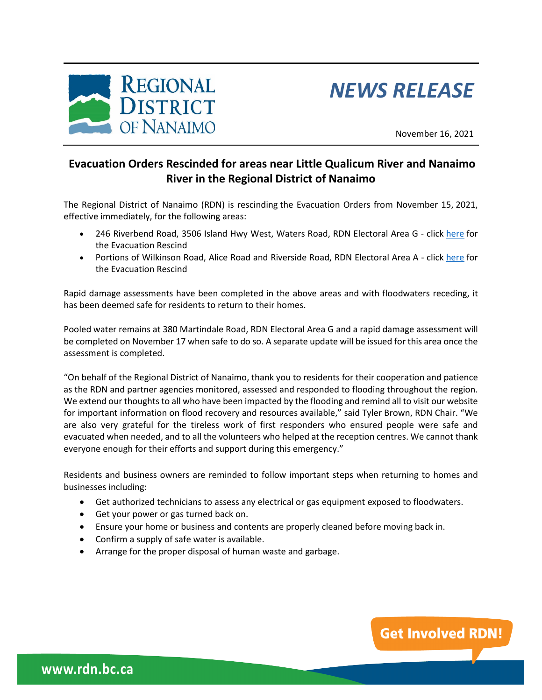

## *NEWS RELEASE*

November 16, 2021

**Get Involved RDN!** 

## **Evacuation Orders Rescinded for areas near Little Qualicum River and Nanaimo River in the Regional District of Nanaimo**

The Regional District of Nanaimo (RDN) is rescinding the Evacuation Orders from November 15, 2021, effective immediately, for the following areas:

- 246 Riverbend Road, 3506 Island Hwy West, Waters Road, RDN Electoral Area G click [here](https://www.rdn.bc.ca/sites/default/files/inline-files/Evacuation%20Recind%20223876%20Cedar%20Grove%2C%20Riverside%2C%20Waters%20Road.pdf) for the Evacuation Rescind
- Portions of Wilkinson Road, Alice Road and Riverside Road, RDN Electoral Area A click [here](https://www.rdn.bc.ca/sites/default/files/inline-files/Evacuation%20Recind%20223876%20Nanaimo%20River.pdf) for the Evacuation Rescind

Rapid damage assessments have been completed in the above areas and with floodwaters receding, it has been deemed safe for residents to return to their homes.

Pooled water remains at 380 Martindale Road, RDN Electoral Area G and a rapid damage assessment will be completed on November 17 when safe to do so. A separate update will be issued for this area once the assessment is completed.

"On behalf of the Regional District of Nanaimo, thank you to residents for their cooperation and patience as the RDN and partner agencies monitored, assessed and responded to flooding throughout the region. We extend our thoughts to all who have been impacted by the flooding and remind all to visit our website for important information on flood recovery and resources available," said Tyler Brown, RDN Chair. "We are also very grateful for the tireless work of first responders who ensured people were safe and evacuated when needed, and to all the volunteers who helped at the reception centres. We cannot thank everyone enough for their efforts and support during this emergency."

Residents and business owners are reminded to follow important steps when returning to homes and businesses including:

- Get authorized technicians to assess any electrical or gas equipment exposed to floodwaters.
- Get your power or gas turned back on.
- Ensure your home or business and contents are properly cleaned before moving back in.
- Confirm a supply of safe water is available.
- Arrange for the proper disposal of human waste and garbage.